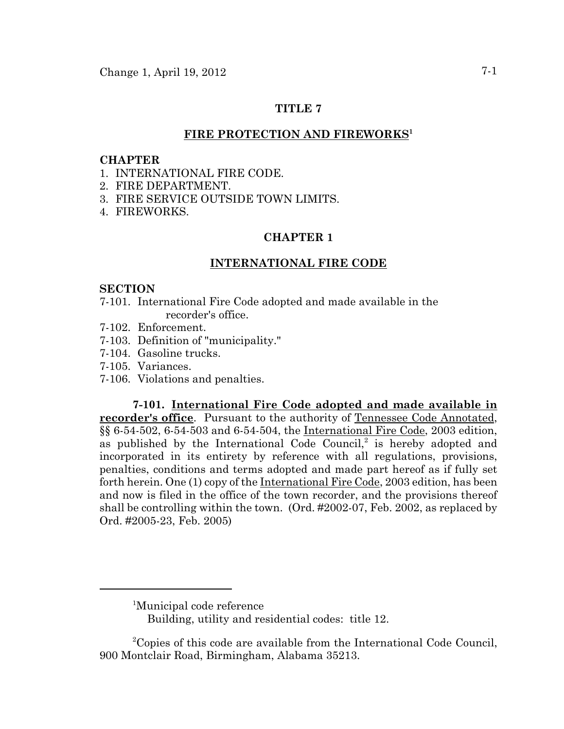## **TITLE 7**

## FIRE PROTECTION AND FIREWORKS<sup>1</sup>

### **CHAPTER**

- 1. INTERNATIONAL FIRE CODE.
- 2. FIRE DEPARTMENT.
- 3. FIRE SERVICE OUTSIDE TOWN LIMITS.
- 4. FIREWORKS.

## **CHAPTER 1**

### **INTERNATIONAL FIRE CODE**

### **SECTION**

- 7-101. International Fire Code adopted and made available in the recorder's office.
- 7-102. Enforcement.
- 7-103. Definition of "municipality."
- 7-104. Gasoline trucks.
- 7-105. Variances.
- 7-106. Violations and penalties.

**7-101. International Fire Code adopted and made available in recorder's office**. Pursuant to the authority of Tennessee Code Annotated, §§ 6-54-502, 6-54-503 and 6-54-504, the International Fire Code, 2003 edition, as published by the International Code Council, $2$  is hereby adopted and incorporated in its entirety by reference with all regulations, provisions, penalties, conditions and terms adopted and made part hereof as if fully set forth herein. One (1) copy of the International Fire Code, 2003 edition, has been and now is filed in the office of the town recorder, and the provisions thereof shall be controlling within the town. (Ord. #2002-07, Feb. 2002, as replaced by Ord. #2005-23, Feb. 2005)

<sup>&</sup>lt;sup>1</sup>Municipal code reference

Building, utility and residential codes: title 12.

<sup>&</sup>lt;sup>2</sup>Copies of this code are available from the International Code Council, 900 Montclair Road, Birmingham, Alabama 35213.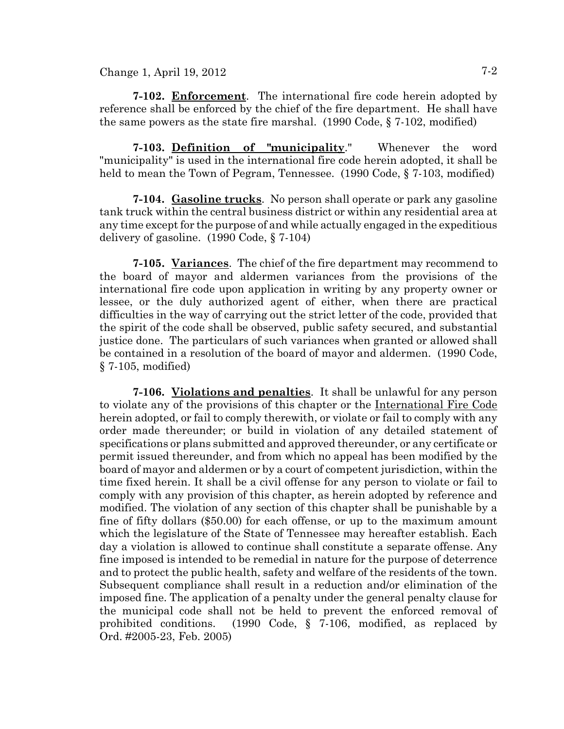Change 1, April 19, 2012  $7-2$ 

**7-102. Enforcement**. The international fire code herein adopted by reference shall be enforced by the chief of the fire department. He shall have the same powers as the state fire marshal. (1990 Code, § 7-102, modified)

**7-103. Definition of "municipality**." Whenever the word "municipality" is used in the international fire code herein adopted, it shall be held to mean the Town of Pegram, Tennessee. (1990 Code, § 7-103, modified)

**7-104. Gasoline trucks**. No person shall operate or park any gasoline tank truck within the central business district or within any residential area at any time except for the purpose of and while actually engaged in the expeditious delivery of gasoline. (1990 Code, § 7-104)

**7-105. Variances**. The chief of the fire department may recommend to the board of mayor and aldermen variances from the provisions of the international fire code upon application in writing by any property owner or lessee, or the duly authorized agent of either, when there are practical difficulties in the way of carrying out the strict letter of the code, provided that the spirit of the code shall be observed, public safety secured, and substantial justice done. The particulars of such variances when granted or allowed shall be contained in a resolution of the board of mayor and aldermen. (1990 Code, § 7-105, modified)

**7-106. Violations and penalties**. It shall be unlawful for any person to violate any of the provisions of this chapter or the International Fire Code herein adopted, or fail to comply therewith, or violate or fail to comply with any order made thereunder; or build in violation of any detailed statement of specifications or plans submitted and approved thereunder, or any certificate or permit issued thereunder, and from which no appeal has been modified by the board of mayor and aldermen or by a court of competent jurisdiction, within the time fixed herein. It shall be a civil offense for any person to violate or fail to comply with any provision of this chapter, as herein adopted by reference and modified. The violation of any section of this chapter shall be punishable by a fine of fifty dollars (\$50.00) for each offense, or up to the maximum amount which the legislature of the State of Tennessee may hereafter establish. Each day a violation is allowed to continue shall constitute a separate offense. Any fine imposed is intended to be remedial in nature for the purpose of deterrence and to protect the public health, safety and welfare of the residents of the town. Subsequent compliance shall result in a reduction and/or elimination of the imposed fine. The application of a penalty under the general penalty clause for the municipal code shall not be held to prevent the enforced removal of prohibited conditions. (1990 Code, § 7-106, modified, as replaced by Ord. #2005-23, Feb. 2005)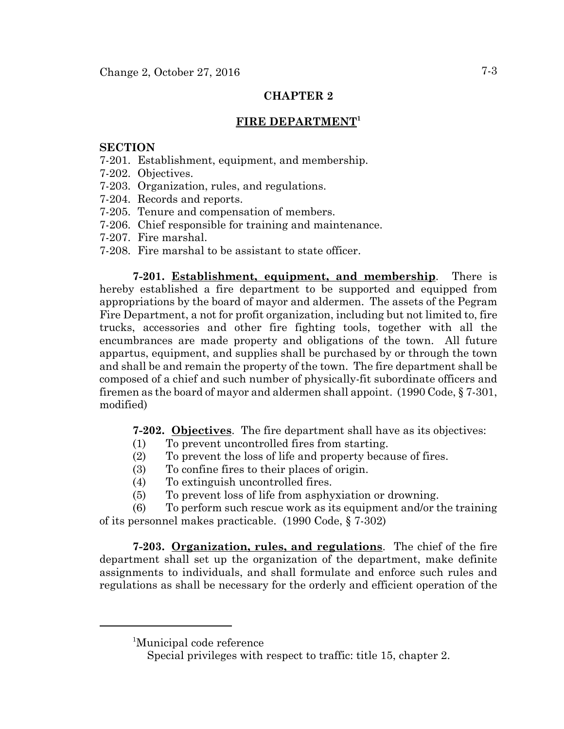# **CHAPTER 2**

# **FIRE DEPARTMENT1**

### **SECTION**

- 7-201. Establishment, equipment, and membership.
- 7-202. Objectives.
- 7-203. Organization, rules, and regulations.
- 7-204. Records and reports.
- 7-205. Tenure and compensation of members.
- 7-206. Chief responsible for training and maintenance.
- 7-207. Fire marshal.
- 7-208. Fire marshal to be assistant to state officer.

**7-201. Establishment, equipment, and membership**. There is hereby established a fire department to be supported and equipped from appropriations by the board of mayor and aldermen. The assets of the Pegram Fire Department, a not for profit organization, including but not limited to, fire trucks, accessories and other fire fighting tools, together with all the encumbrances are made property and obligations of the town. All future appartus, equipment, and supplies shall be purchased by or through the town and shall be and remain the property of the town. The fire department shall be composed of a chief and such number of physically-fit subordinate officers and firemen as the board of mayor and aldermen shall appoint. (1990 Code, § 7-301, modified)

**7-202. Objectives**. The fire department shall have as its objectives:

- (1) To prevent uncontrolled fires from starting.
- (2) To prevent the loss of life and property because of fires.
- (3) To confine fires to their places of origin.
- (4) To extinguish uncontrolled fires.
- (5) To prevent loss of life from asphyxiation or drowning.

(6) To perform such rescue work as its equipment and/or the training of its personnel makes practicable. (1990 Code, § 7-302)

**7-203. Organization, rules, and regulations**. The chief of the fire department shall set up the organization of the department, make definite assignments to individuals, and shall formulate and enforce such rules and regulations as shall be necessary for the orderly and efficient operation of the

<sup>1</sup> Municipal code reference

Special privileges with respect to traffic: title 15, chapter 2.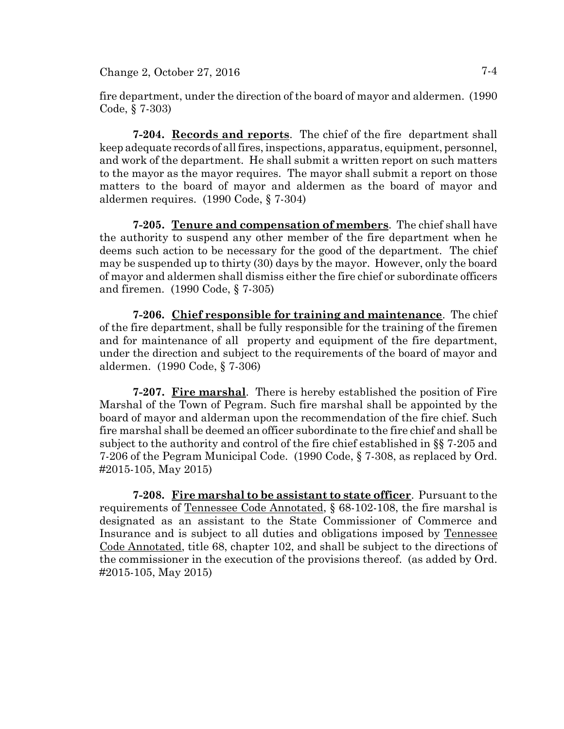$Change 2, October 27, 2016$   $7-4$ 

fire department, under the direction of the board of mayor and aldermen. (1990 Code, § 7-303)

**7-204. Records and reports**. The chief of the fire department shall keep adequate records of all fires, inspections, apparatus, equipment, personnel, and work of the department. He shall submit a written report on such matters to the mayor as the mayor requires. The mayor shall submit a report on those matters to the board of mayor and aldermen as the board of mayor and aldermen requires. (1990 Code, § 7-304)

**7-205. Tenure and compensation of members**. The chief shall have the authority to suspend any other member of the fire department when he deems such action to be necessary for the good of the department. The chief may be suspended up to thirty (30) days by the mayor. However, only the board of mayor and aldermen shall dismiss either the fire chief or subordinate officers and firemen. (1990 Code, § 7-305)

**7-206. Chief responsible for training and maintenance**. The chief of the fire department, shall be fully responsible for the training of the firemen and for maintenance of all property and equipment of the fire department, under the direction and subject to the requirements of the board of mayor and aldermen. (1990 Code, § 7-306)

**7-207. Fire marshal**. There is hereby established the position of Fire Marshal of the Town of Pegram. Such fire marshal shall be appointed by the board of mayor and alderman upon the recommendation of the fire chief. Such fire marshal shall be deemed an officer subordinate to the fire chief and shall be subject to the authority and control of the fire chief established in §§ 7-205 and 7-206 of the Pegram Municipal Code. (1990 Code, § 7-308, as replaced by Ord. #2015-105, May 2015)

**7-208. Fire marshal to be assistant to state officer**. Pursuant to the requirements of Tennessee Code Annotated, § 68-102-108, the fire marshal is designated as an assistant to the State Commissioner of Commerce and Insurance and is subject to all duties and obligations imposed by Tennessee Code Annotated, title 68, chapter 102, and shall be subject to the directions of the commissioner in the execution of the provisions thereof. (as added by Ord. #2015-105, May 2015)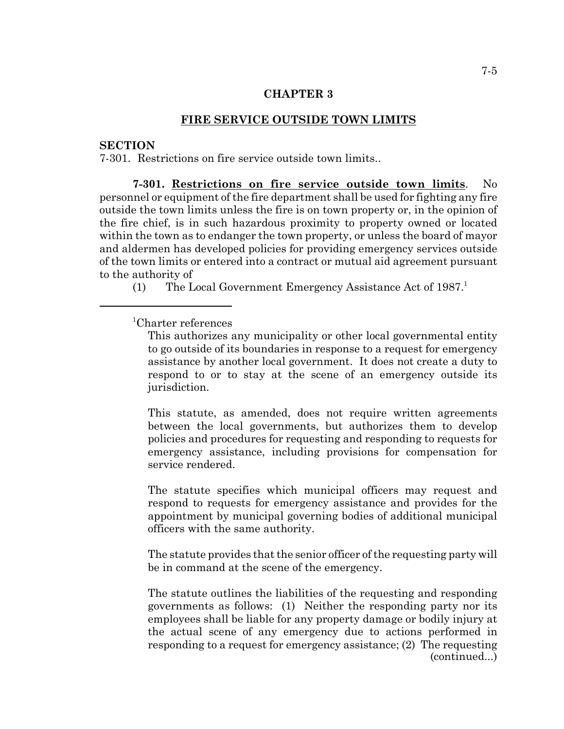### **CHAPTER 3**

### **FIRE SERVICE OUTSIDE TOWN LIMITS**

### **SECTION**

7-301. Restrictions on fire service outside town limits..

**7-301. Restrictions on fire service outside town limits**. No personnel or equipment of the fire department shall be used for fighting any fire outside the town limits unless the fire is on town property or, in the opinion of the fire chief, is in such hazardous proximity to property owned or located within the town as to endanger the town property, or unless the board of mayor and aldermen has developed policies for providing emergency services outside of the town limits or entered into a contract or mutual aid agreement pursuant to the authority of

(1) The Local Government Emergency Assistance Act of  $1987<sup>1</sup>$ 

# 1 Charter references

This authorizes any municipality or other local governmental entity to go outside of its boundaries in response to a request for emergency assistance by another local government. It does not create a duty to respond to or to stay at the scene of an emergency outside its jurisdiction.

This statute, as amended, does not require written agreements between the local governments, but authorizes them to develop policies and procedures for requesting and responding to requests for emergency assistance, including provisions for compensation for service rendered.

The statute specifies which municipal officers may request and respond to requests for emergency assistance and provides for the appointment by municipal governing bodies of additional municipal officers with the same authority.

The statute provides that the senior officer of the requesting party will be in command at the scene of the emergency.

The statute outlines the liabilities of the requesting and responding governments as follows: (1) Neither the responding party nor its employees shall be liable for any property damage or bodily injury at the actual scene of any emergency due to actions performed in responding to a request for emergency assistance; (2) The requesting (continued...)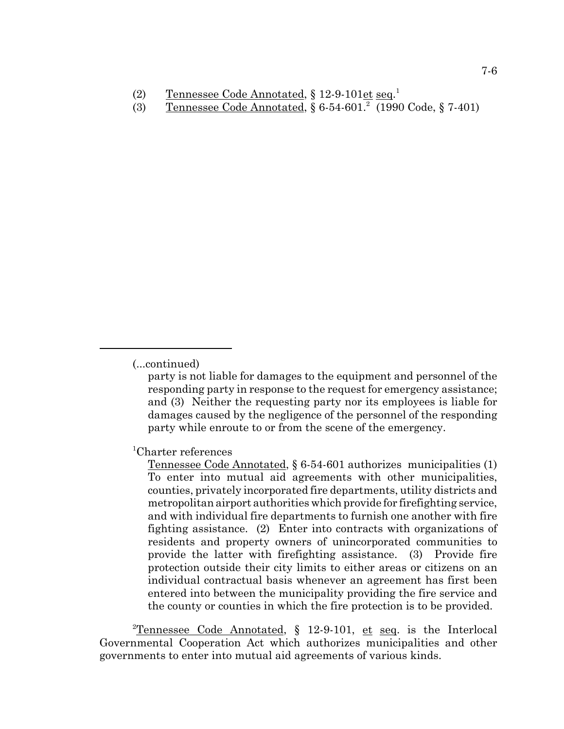(2) Tennessee Code Annotated, § 12-9-101et seq.<sup>1</sup>

(3) Tennessee Code Annotated, § 6-54-601.<sup>2</sup> (1990 Code, § 7-401)

party is not liable for damages to the equipment and personnel of the responding party in response to the request for emergency assistance; and (3) Neither the requesting party nor its employees is liable for damages caused by the negligence of the personnel of the responding party while enroute to or from the scene of the emergency.

1 Charter references

Tennessee Code Annotated, § 6-54-601 authorizes municipalities (1) To enter into mutual aid agreements with other municipalities, counties, privately incorporated fire departments, utility districts and metropolitan airport authorities which provide for firefighting service, and with individual fire departments to furnish one another with fire fighting assistance. (2) Enter into contracts with organizations of residents and property owners of unincorporated communities to provide the latter with firefighting assistance. (3) Provide fire protection outside their city limits to either areas or citizens on an individual contractual basis whenever an agreement has first been entered into between the municipality providing the fire service and the county or counties in which the fire protection is to be provided.

<sup>2</sup>Tennessee Code Annotated, § 12-9-101, et seq. is the Interlocal Governmental Cooperation Act which authorizes municipalities and other governments to enter into mutual aid agreements of various kinds.

<sup>(...</sup>continued)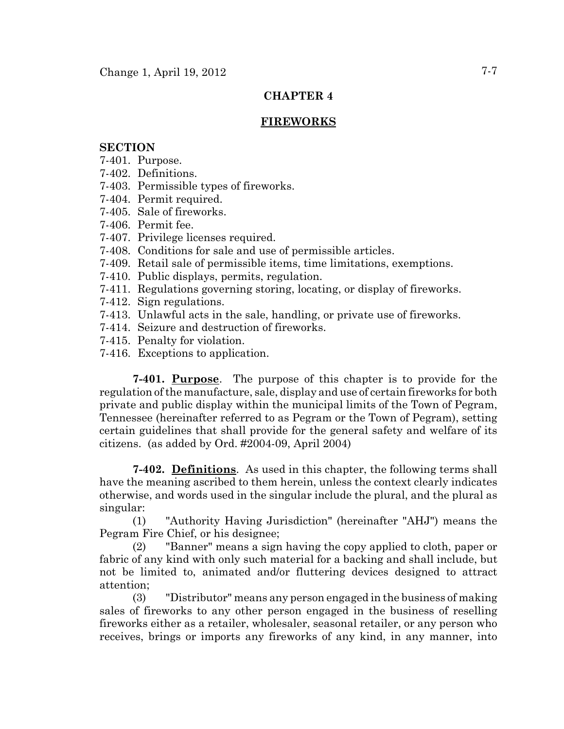# **CHAPTER 4**

# **FIREWORKS**

## **SECTION**

- 7-401. Purpose.
- 7-402. Definitions.
- 7-403. Permissible types of fireworks.
- 7-404. Permit required.
- 7-405. Sale of fireworks.
- 7-406. Permit fee.
- 7-407. Privilege licenses required.
- 7-408. Conditions for sale and use of permissible articles.
- 7-409. Retail sale of permissible items, time limitations, exemptions.
- 7-410. Public displays, permits, regulation.
- 7-411. Regulations governing storing, locating, or display of fireworks.
- 7-412. Sign regulations.
- 7-413. Unlawful acts in the sale, handling, or private use of fireworks.
- 7-414. Seizure and destruction of fireworks.
- 7-415. Penalty for violation.
- 7-416. Exceptions to application.

**7-401. Purpose**. The purpose of this chapter is to provide for the regulation of the manufacture, sale, display and use of certain fireworks for both private and public display within the municipal limits of the Town of Pegram, Tennessee (hereinafter referred to as Pegram or the Town of Pegram), setting certain guidelines that shall provide for the general safety and welfare of its citizens. (as added by Ord. #2004-09, April 2004)

**7-402. Definitions**. As used in this chapter, the following terms shall have the meaning ascribed to them herein, unless the context clearly indicates otherwise, and words used in the singular include the plural, and the plural as singular:

(1) "Authority Having Jurisdiction" (hereinafter "AHJ") means the Pegram Fire Chief, or his designee;

(2) "Banner" means a sign having the copy applied to cloth, paper or fabric of any kind with only such material for a backing and shall include, but not be limited to, animated and/or fluttering devices designed to attract attention;

(3) "Distributor" means any person engaged in the business of making sales of fireworks to any other person engaged in the business of reselling fireworks either as a retailer, wholesaler, seasonal retailer, or any person who receives, brings or imports any fireworks of any kind, in any manner, into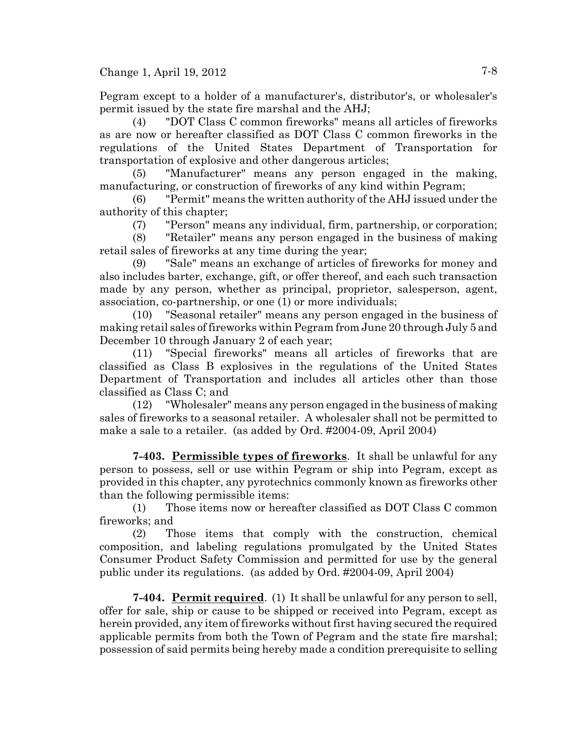Change 1, April 19, 2012  $7-8$ 

Pegram except to a holder of a manufacturer's, distributor's, or wholesaler's permit issued by the state fire marshal and the AHJ;

(4) "DOT Class C common fireworks" means all articles of fireworks as are now or hereafter classified as DOT Class C common fireworks in the regulations of the United States Department of Transportation for transportation of explosive and other dangerous articles;

(5) "Manufacturer" means any person engaged in the making, manufacturing, or construction of fireworks of any kind within Pegram;

(6) "Permit" means the written authority of the AHJ issued under the authority of this chapter;

(7) "Person" means any individual, firm, partnership, or corporation;

(8) "Retailer" means any person engaged in the business of making retail sales of fireworks at any time during the year;

(9) "Sale" means an exchange of articles of fireworks for money and also includes barter, exchange, gift, or offer thereof, and each such transaction made by any person, whether as principal, proprietor, salesperson, agent, association, co-partnership, or one (1) or more individuals;

(10) "Seasonal retailer" means any person engaged in the business of making retail sales of fireworks within Pegram from June 20 through July 5 and December 10 through January 2 of each year;

(11) "Special fireworks" means all articles of fireworks that are classified as Class B explosives in the regulations of the United States Department of Transportation and includes all articles other than those classified as Class C; and

(12) "Wholesaler" means any person engaged in the business of making sales of fireworks to a seasonal retailer. A wholesaler shall not be permitted to make a sale to a retailer. (as added by Ord. #2004-09, April 2004)

**7-403. Permissible types of fireworks**. It shall be unlawful for any person to possess, sell or use within Pegram or ship into Pegram, except as provided in this chapter, any pyrotechnics commonly known as fireworks other than the following permissible items:

(1) Those items now or hereafter classified as DOT Class C common fireworks; and

(2) Those items that comply with the construction, chemical composition, and labeling regulations promulgated by the United States Consumer Product Safety Commission and permitted for use by the general public under its regulations. (as added by Ord. #2004-09, April 2004)

**7-404. Permit required**. (1) It shall be unlawful for any person to sell, offer for sale, ship or cause to be shipped or received into Pegram, except as herein provided, any item of fireworks without first having secured the required applicable permits from both the Town of Pegram and the state fire marshal; possession of said permits being hereby made a condition prerequisite to selling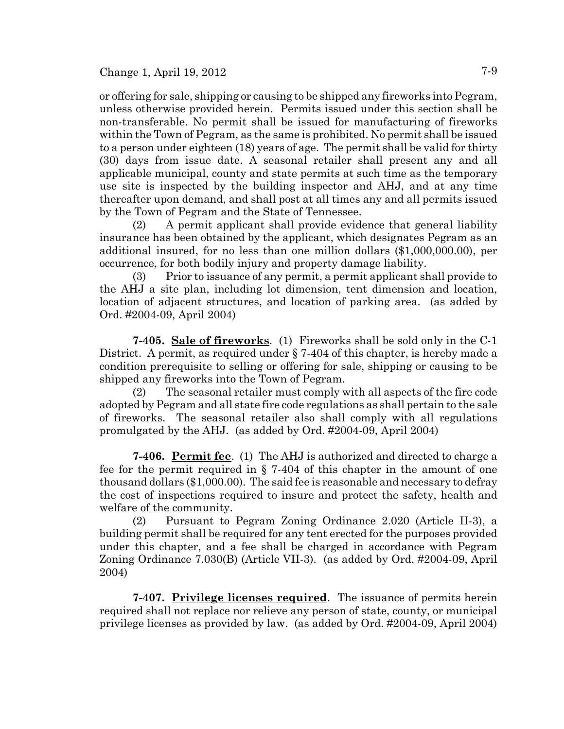or offering for sale, shipping or causing to be shipped any fireworks into Pegram, unless otherwise provided herein. Permits issued under this section shall be non-transferable. No permit shall be issued for manufacturing of fireworks within the Town of Pegram, as the same is prohibited. No permit shall be issued to a person under eighteen (18) years of age. The permit shall be valid for thirty (30) days from issue date. A seasonal retailer shall present any and all applicable municipal, county and state permits at such time as the temporary use site is inspected by the building inspector and AHJ, and at any time thereafter upon demand, and shall post at all times any and all permits issued by the Town of Pegram and the State of Tennessee.

(2) A permit applicant shall provide evidence that general liability insurance has been obtained by the applicant, which designates Pegram as an additional insured, for no less than one million dollars (\$1,000,000.00), per occurrence, for both bodily injury and property damage liability.

(3) Prior to issuance of any permit, a permit applicant shall provide to the AHJ a site plan, including lot dimension, tent dimension and location, location of adjacent structures, and location of parking area. (as added by Ord. #2004-09, April 2004)

**7-405. Sale of fireworks**. (1) Fireworks shall be sold only in the C-1 District. A permit, as required under § 7-404 of this chapter, is hereby made a condition prerequisite to selling or offering for sale, shipping or causing to be shipped any fireworks into the Town of Pegram.

(2) The seasonal retailer must comply with all aspects of the fire code adopted by Pegram and all state fire code regulations as shall pertain to the sale of fireworks. The seasonal retailer also shall comply with all regulations promulgated by the AHJ. (as added by Ord. #2004-09, April 2004)

**7-406. Permit fee**. (1) The AHJ is authorized and directed to charge a fee for the permit required in § 7-404 of this chapter in the amount of one thousand dollars (\$1,000.00). The said fee is reasonable and necessary to defray the cost of inspections required to insure and protect the safety, health and welfare of the community.

(2) Pursuant to Pegram Zoning Ordinance 2.020 (Article II-3), a building permit shall be required for any tent erected for the purposes provided under this chapter, and a fee shall be charged in accordance with Pegram Zoning Ordinance 7.030(B) (Article VII-3). (as added by Ord. #2004-09, April 2004)

**7-407. Privilege licenses required**. The issuance of permits herein required shall not replace nor relieve any person of state, county, or municipal privilege licenses as provided by law. (as added by Ord. #2004-09, April 2004)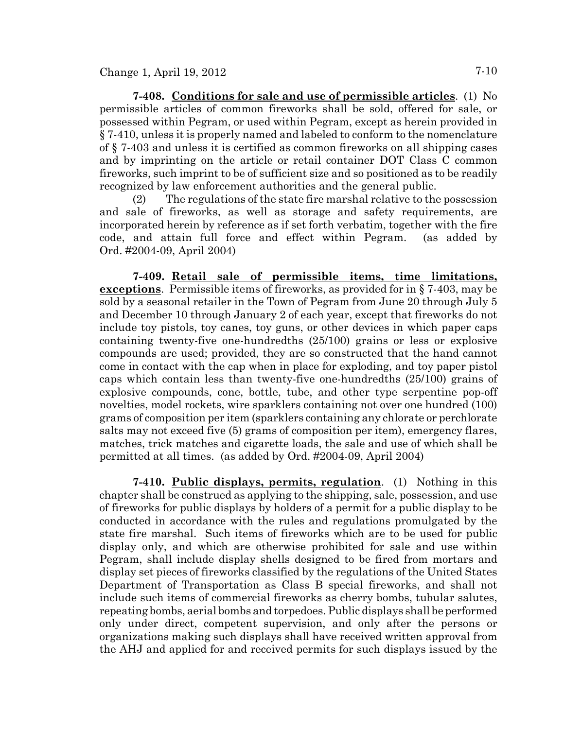**7-408. Conditions for sale and use of permissible articles**. (1) No permissible articles of common fireworks shall be sold, offered for sale, or possessed within Pegram, or used within Pegram, except as herein provided in § 7-410, unless it is properly named and labeled to conform to the nomenclature of § 7-403 and unless it is certified as common fireworks on all shipping cases and by imprinting on the article or retail container DOT Class C common fireworks, such imprint to be of sufficient size and so positioned as to be readily recognized by law enforcement authorities and the general public.

(2) The regulations of the state fire marshal relative to the possession and sale of fireworks, as well as storage and safety requirements, are incorporated herein by reference as if set forth verbatim, together with the fire code, and attain full force and effect within Pegram. (as added by Ord. #2004-09, April 2004)

**7-409. Retail sale of permissible items, time limitations, exceptions**. Permissible items of fireworks, as provided for in § 7-403, may be sold by a seasonal retailer in the Town of Pegram from June 20 through July 5 and December 10 through January 2 of each year, except that fireworks do not include toy pistols, toy canes, toy guns, or other devices in which paper caps containing twenty-five one-hundredths (25/100) grains or less or explosive compounds are used; provided, they are so constructed that the hand cannot come in contact with the cap when in place for exploding, and toy paper pistol caps which contain less than twenty-five one-hundredths (25/100) grains of explosive compounds, cone, bottle, tube, and other type serpentine pop-off novelties, model rockets, wire sparklers containing not over one hundred (100) grams of composition per item (sparklers containing any chlorate or perchlorate salts may not exceed five (5) grams of composition per item), emergency flares, matches, trick matches and cigarette loads, the sale and use of which shall be permitted at all times. (as added by Ord. #2004-09, April 2004)

**7-410. Public displays, permits, regulation**. (1) Nothing in this chapter shall be construed as applying to the shipping, sale, possession, and use of fireworks for public displays by holders of a permit for a public display to be conducted in accordance with the rules and regulations promulgated by the state fire marshal. Such items of fireworks which are to be used for public display only, and which are otherwise prohibited for sale and use within Pegram, shall include display shells designed to be fired from mortars and display set pieces of fireworks classified by the regulations of the United States Department of Transportation as Class B special fireworks, and shall not include such items of commercial fireworks as cherry bombs, tubular salutes, repeating bombs, aerial bombs and torpedoes. Public displays shall be performed only under direct, competent supervision, and only after the persons or organizations making such displays shall have received written approval from the AHJ and applied for and received permits for such displays issued by the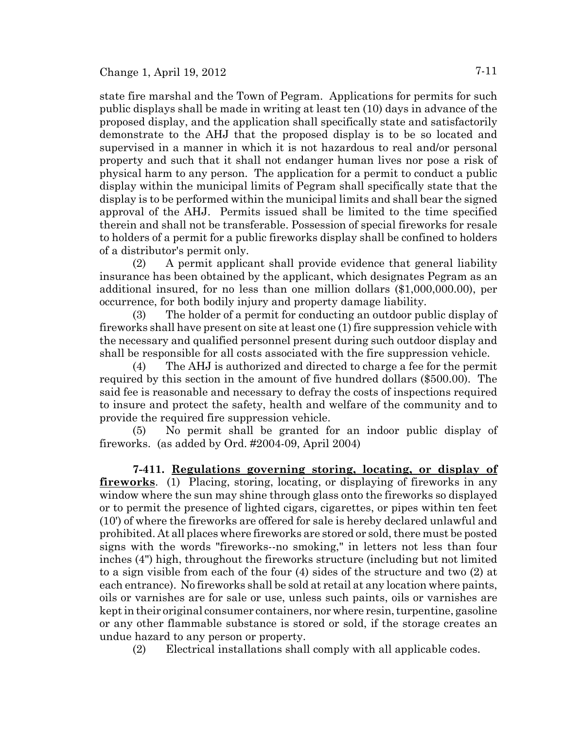state fire marshal and the Town of Pegram. Applications for permits for such public displays shall be made in writing at least ten (10) days in advance of the proposed display, and the application shall specifically state and satisfactorily demonstrate to the AHJ that the proposed display is to be so located and supervised in a manner in which it is not hazardous to real and/or personal property and such that it shall not endanger human lives nor pose a risk of physical harm to any person. The application for a permit to conduct a public display within the municipal limits of Pegram shall specifically state that the display is to be performed within the municipal limits and shall bear the signed approval of the AHJ. Permits issued shall be limited to the time specified therein and shall not be transferable. Possession of special fireworks for resale to holders of a permit for a public fireworks display shall be confined to holders of a distributor's permit only.

(2) A permit applicant shall provide evidence that general liability insurance has been obtained by the applicant, which designates Pegram as an additional insured, for no less than one million dollars (\$1,000,000.00), per occurrence, for both bodily injury and property damage liability.

(3) The holder of a permit for conducting an outdoor public display of fireworks shall have present on site at least one (1) fire suppression vehicle with the necessary and qualified personnel present during such outdoor display and shall be responsible for all costs associated with the fire suppression vehicle.

(4) The AHJ is authorized and directed to charge a fee for the permit required by this section in the amount of five hundred dollars (\$500.00). The said fee is reasonable and necessary to defray the costs of inspections required to insure and protect the safety, health and welfare of the community and to provide the required fire suppression vehicle.

(5) No permit shall be granted for an indoor public display of fireworks. (as added by Ord. #2004-09, April 2004)

**7-411. Regulations governing storing, locating, or display of fireworks**. (1) Placing, storing, locating, or displaying of fireworks in any window where the sun may shine through glass onto the fireworks so displayed or to permit the presence of lighted cigars, cigarettes, or pipes within ten feet (10') of where the fireworks are offered for sale is hereby declared unlawful and prohibited. At all places where fireworks are stored or sold, there must be posted signs with the words "fireworks--no smoking," in letters not less than four inches (4") high, throughout the fireworks structure (including but not limited to a sign visible from each of the four (4) sides of the structure and two (2) at each entrance). No fireworks shall be sold at retail at any location where paints, oils or varnishes are for sale or use, unless such paints, oils or varnishes are kept in their original consumer containers, nor where resin, turpentine, gasoline or any other flammable substance is stored or sold, if the storage creates an undue hazard to any person or property.

(2) Electrical installations shall comply with all applicable codes.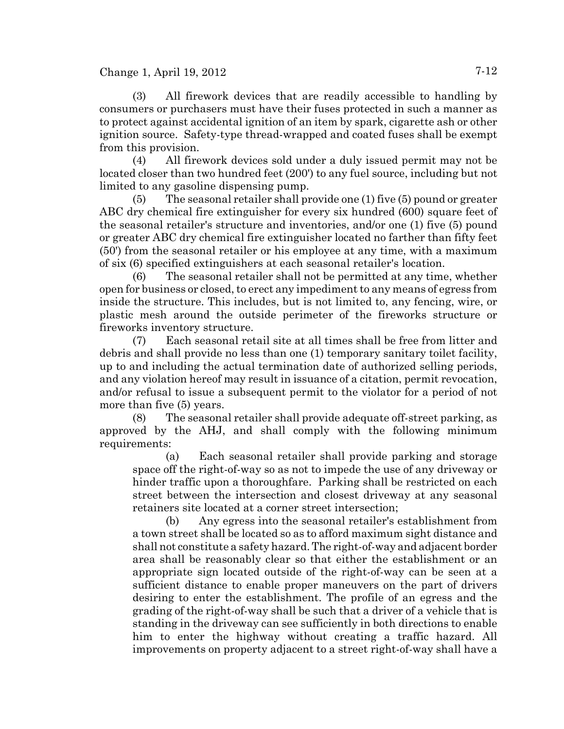Change 1, April 19, 2012 7-12

(3) All firework devices that are readily accessible to handling by consumers or purchasers must have their fuses protected in such a manner as to protect against accidental ignition of an item by spark, cigarette ash or other ignition source. Safety-type thread-wrapped and coated fuses shall be exempt from this provision.

(4) All firework devices sold under a duly issued permit may not be located closer than two hundred feet (200') to any fuel source, including but not limited to any gasoline dispensing pump.

(5) The seasonal retailer shall provide one (1) five (5) pound or greater ABC dry chemical fire extinguisher for every six hundred (600) square feet of the seasonal retailer's structure and inventories, and/or one (1) five (5) pound or greater ABC dry chemical fire extinguisher located no farther than fifty feet (50') from the seasonal retailer or his employee at any time, with a maximum of six (6) specified extinguishers at each seasonal retailer's location.

(6) The seasonal retailer shall not be permitted at any time, whether open for business or closed, to erect any impediment to any means of egress from inside the structure. This includes, but is not limited to, any fencing, wire, or plastic mesh around the outside perimeter of the fireworks structure or fireworks inventory structure.

(7) Each seasonal retail site at all times shall be free from litter and debris and shall provide no less than one (1) temporary sanitary toilet facility, up to and including the actual termination date of authorized selling periods, and any violation hereof may result in issuance of a citation, permit revocation, and/or refusal to issue a subsequent permit to the violator for a period of not more than five (5) years.

(8) The seasonal retailer shall provide adequate off-street parking, as approved by the AHJ, and shall comply with the following minimum requirements:

(a) Each seasonal retailer shall provide parking and storage space off the right-of-way so as not to impede the use of any driveway or hinder traffic upon a thoroughfare. Parking shall be restricted on each street between the intersection and closest driveway at any seasonal retainers site located at a corner street intersection;

(b) Any egress into the seasonal retailer's establishment from a town street shall be located so as to afford maximum sight distance and shall not constitute a safety hazard. The right-of-way and adjacent border area shall be reasonably clear so that either the establishment or an appropriate sign located outside of the right-of-way can be seen at a sufficient distance to enable proper maneuvers on the part of drivers desiring to enter the establishment. The profile of an egress and the grading of the right-of-way shall be such that a driver of a vehicle that is standing in the driveway can see sufficiently in both directions to enable him to enter the highway without creating a traffic hazard. All improvements on property adjacent to a street right-of-way shall have a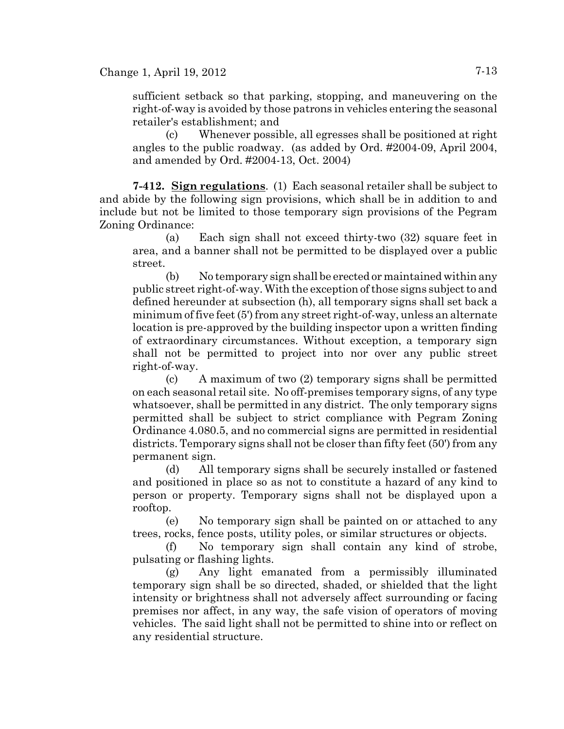sufficient setback so that parking, stopping, and maneuvering on the right-of-way is avoided by those patrons in vehicles entering the seasonal retailer's establishment; and

(c) Whenever possible, all egresses shall be positioned at right angles to the public roadway. (as added by Ord. #2004-09, April 2004, and amended by Ord. #2004-13, Oct. 2004)

**7-412. Sign regulations**. (1) Each seasonal retailer shall be subject to and abide by the following sign provisions, which shall be in addition to and include but not be limited to those temporary sign provisions of the Pegram Zoning Ordinance:

(a) Each sign shall not exceed thirty-two (32) square feet in area, and a banner shall not be permitted to be displayed over a public street.

(b) No temporary sign shall be erected or maintained within any public street right-of-way. With the exception of those signs subject to and defined hereunder at subsection (h), all temporary signs shall set back a minimum of five feet (5') from any street right-of-way, unless an alternate location is pre-approved by the building inspector upon a written finding of extraordinary circumstances. Without exception, a temporary sign shall not be permitted to project into nor over any public street right-of-way.

(c) A maximum of two (2) temporary signs shall be permitted on each seasonal retail site. No off-premises temporary signs, of any type whatsoever, shall be permitted in any district. The only temporary signs permitted shall be subject to strict compliance with Pegram Zoning Ordinance 4.080.5, and no commercial signs are permitted in residential districts. Temporary signs shall not be closer than fifty feet (50') from any permanent sign.

(d) All temporary signs shall be securely installed or fastened and positioned in place so as not to constitute a hazard of any kind to person or property. Temporary signs shall not be displayed upon a rooftop.

(e) No temporary sign shall be painted on or attached to any trees, rocks, fence posts, utility poles, or similar structures or objects.

(f) No temporary sign shall contain any kind of strobe, pulsating or flashing lights.

(g) Any light emanated from a permissibly illuminated temporary sign shall be so directed, shaded, or shielded that the light intensity or brightness shall not adversely affect surrounding or facing premises nor affect, in any way, the safe vision of operators of moving vehicles. The said light shall not be permitted to shine into or reflect on any residential structure.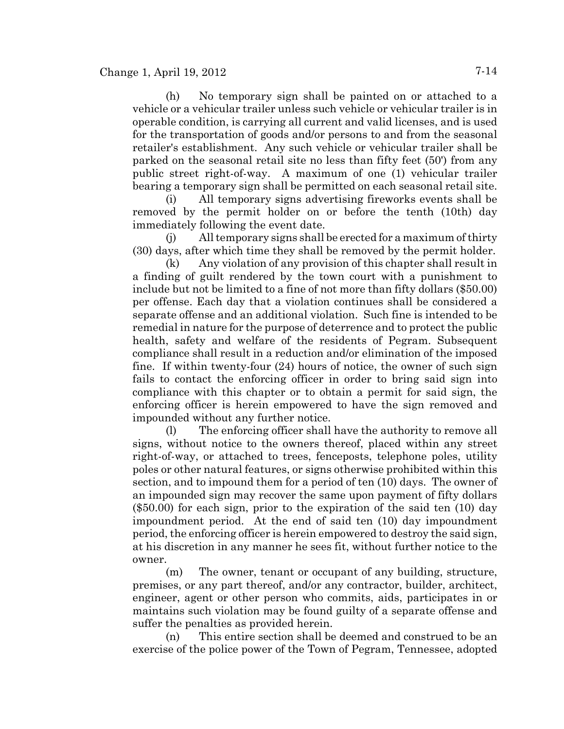(h) No temporary sign shall be painted on or attached to a vehicle or a vehicular trailer unless such vehicle or vehicular trailer is in operable condition, is carrying all current and valid licenses, and is used for the transportation of goods and/or persons to and from the seasonal retailer's establishment. Any such vehicle or vehicular trailer shall be parked on the seasonal retail site no less than fifty feet (50') from any public street right-of-way. A maximum of one (1) vehicular trailer bearing a temporary sign shall be permitted on each seasonal retail site.

(i) All temporary signs advertising fireworks events shall be removed by the permit holder on or before the tenth (10th) day immediately following the event date.

(j) All temporary signs shall be erected for a maximum of thirty (30) days, after which time they shall be removed by the permit holder.

(k) Any violation of any provision of this chapter shall result in a finding of guilt rendered by the town court with a punishment to include but not be limited to a fine of not more than fifty dollars (\$50.00) per offense. Each day that a violation continues shall be considered a separate offense and an additional violation. Such fine is intended to be remedial in nature for the purpose of deterrence and to protect the public health, safety and welfare of the residents of Pegram. Subsequent compliance shall result in a reduction and/or elimination of the imposed fine. If within twenty-four (24) hours of notice, the owner of such sign fails to contact the enforcing officer in order to bring said sign into compliance with this chapter or to obtain a permit for said sign, the enforcing officer is herein empowered to have the sign removed and impounded without any further notice.

(l) The enforcing officer shall have the authority to remove all signs, without notice to the owners thereof, placed within any street right-of-way, or attached to trees, fenceposts, telephone poles, utility poles or other natural features, or signs otherwise prohibited within this section, and to impound them for a period of ten (10) days. The owner of an impounded sign may recover the same upon payment of fifty dollars (\$50.00) for each sign, prior to the expiration of the said ten (10) day impoundment period. At the end of said ten (10) day impoundment period, the enforcing officer is herein empowered to destroy the said sign, at his discretion in any manner he sees fit, without further notice to the owner.

(m) The owner, tenant or occupant of any building, structure, premises, or any part thereof, and/or any contractor, builder, architect, engineer, agent or other person who commits, aids, participates in or maintains such violation may be found guilty of a separate offense and suffer the penalties as provided herein.

(n) This entire section shall be deemed and construed to be an exercise of the police power of the Town of Pegram, Tennessee, adopted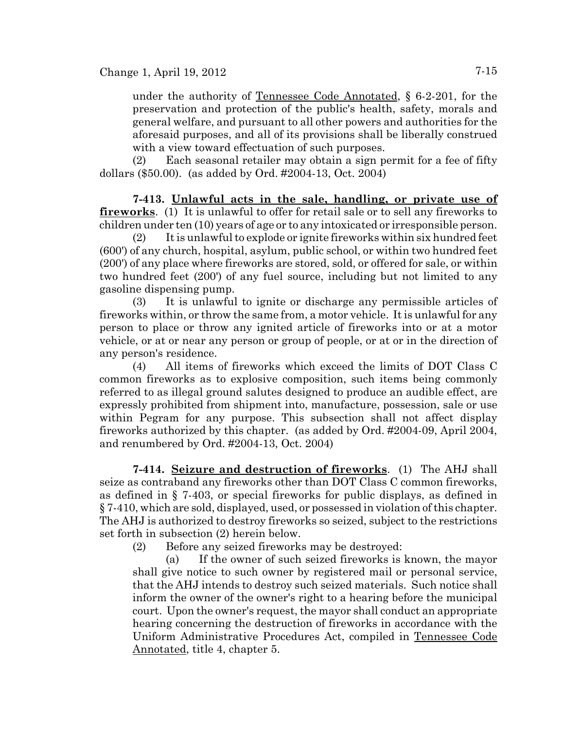under the authority of Tennessee Code Annotated, § 6-2-201, for the preservation and protection of the public's health, safety, morals and general welfare, and pursuant to all other powers and authorities for the aforesaid purposes, and all of its provisions shall be liberally construed with a view toward effectuation of such purposes.

(2) Each seasonal retailer may obtain a sign permit for a fee of fifty dollars (\$50.00). (as added by Ord. #2004-13, Oct. 2004)

**7-413. Unlawful acts in the sale, handling, or private use of fireworks**. (1) It is unlawful to offer for retail sale or to sell any fireworks to children under ten (10) years of age or to any intoxicated or irresponsible person.

(2) It is unlawful to explode or ignite fireworks within six hundred feet (600') of any church, hospital, asylum, public school, or within two hundred feet (200') of any place where fireworks are stored, sold, or offered for sale, or within two hundred feet (200') of any fuel source, including but not limited to any gasoline dispensing pump.

(3) It is unlawful to ignite or discharge any permissible articles of fireworks within, or throw the same from, a motor vehicle. It is unlawful for any person to place or throw any ignited article of fireworks into or at a motor vehicle, or at or near any person or group of people, or at or in the direction of any person's residence.

(4) All items of fireworks which exceed the limits of DOT Class C common fireworks as to explosive composition, such items being commonly referred to as illegal ground salutes designed to produce an audible effect, are expressly prohibited from shipment into, manufacture, possession, sale or use within Pegram for any purpose. This subsection shall not affect display fireworks authorized by this chapter. (as added by Ord. #2004-09, April 2004, and renumbered by Ord. #2004-13, Oct. 2004)

**7-414. Seizure and destruction of fireworks**. (1) The AHJ shall seize as contraband any fireworks other than DOT Class C common fireworks, as defined in § 7-403, or special fireworks for public displays, as defined in § 7-410, which are sold, displayed, used, or possessed in violation of this chapter. The AHJ is authorized to destroy fireworks so seized, subject to the restrictions set forth in subsection (2) herein below.

(2) Before any seized fireworks may be destroyed:

(a) If the owner of such seized fireworks is known, the mayor shall give notice to such owner by registered mail or personal service, that the AHJ intends to destroy such seized materials. Such notice shall inform the owner of the owner's right to a hearing before the municipal court. Upon the owner's request, the mayor shall conduct an appropriate hearing concerning the destruction of fireworks in accordance with the Uniform Administrative Procedures Act, compiled in Tennessee Code Annotated, title 4, chapter 5.